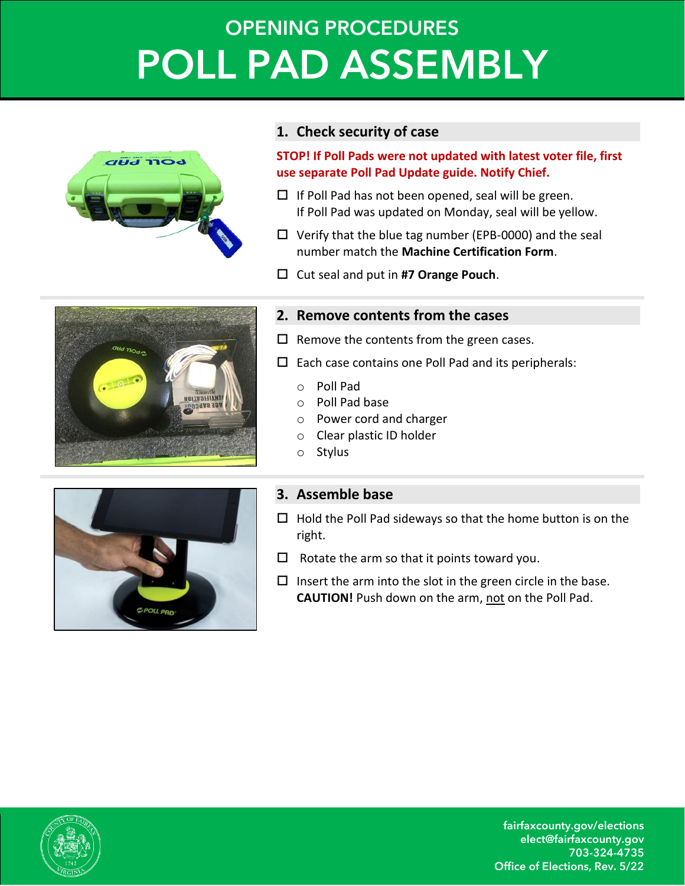# **OPENING PROCEDURES POLL PAD ASSEMBLY**



#### **1. Check security of case**

**STOP! If Poll Pads were not updated with latest voter file, first use separate Poll Pad Update guide. Notify Chief.**

- $\Box$  If Poll Pad has not been opened, seal will be green. If Poll Pad was updated on Monday, seal will be yellow.
- $\Box$  Verify that the blue tag number (EPB-0000) and the seal number match the **Machine Certification Form**.
- Cut seal and put in **#7 Orange Pouch**.



### **2. Remove contents from the cases**

- $\Box$  Remove the contents from the green cases.
- $\square$  Each case contains one Poll Pad and its peripherals:
	- o Poll Pad
	- o Poll Pad base
	- o Power cord and charger
	- o Clear plastic ID holder
	- o Stylus



## **3. Assemble base**

- $\Box$  Hold the Poll Pad sideways so that the home button is on the right.
- $\Box$  Rotate the arm so that it points toward you.
- $\Box$  Insert the arm into the slot in the green circle in the base. **CAUTION!** Push down on the arm, not on the Poll Pad.



fairfaxcounty.gov/elections elect@fairfaxcounty.gov 703-324-4735 Office of Elections, Rev. 5/22